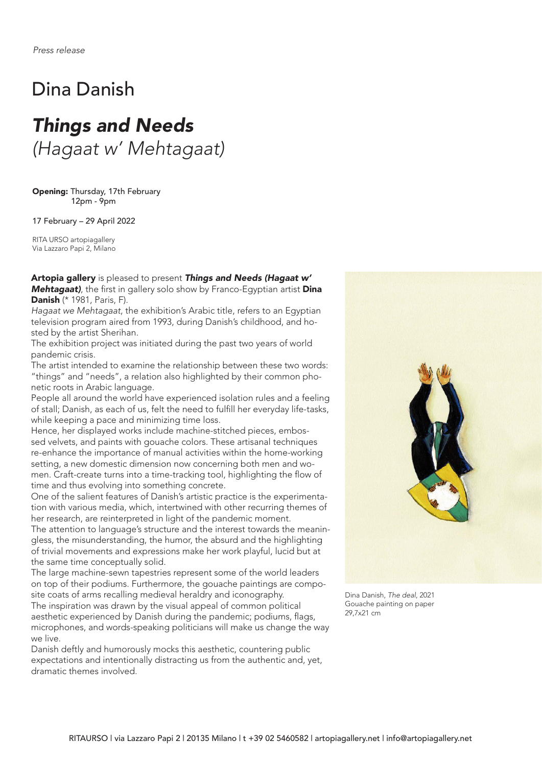## Dina Danish

# *Things and Needs (Hagaat w' Mehtagaat)*

Opening: Thursday, 17th February 12pm - 9pm

17 February – 29 April 2022

RITA URSO artopiagallery Via Lazzaro Papi 2, Milano

Artopia gallery is pleased to present *Things and Needs (Hagaat w' Mehtagaat*), the first in gallery solo show by Franco-Egyptian artist **Dina** Danish (\* 1981, Paris, F).

*Hagaat we Mehtagaat*, the exhibition's Arabic title, refers to an Egyptian television program aired from 1993, during Danish's childhood, and hosted by the artist Sherihan.

The exhibition project was initiated during the past two years of world pandemic crisis.

The artist intended to examine the relationship between these two words: "things" and "needs", a relation also highlighted by their common phonetic roots in Arabic language.

People all around the world have experienced isolation rules and a feeling of stall; Danish, as each of us, felt the need to fulfill her everyday life-tasks, while keeping a pace and minimizing time loss.

Hence, her displayed works include machine-stitched pieces, embossed velvets, and paints with gouache colors. These artisanal techniques re-enhance the importance of manual activities within the home-working setting, a new domestic dimension now concerning both men and women. Craft-create turns into a time-tracking tool, highlighting the flow of time and thus evolving into something concrete.

One of the salient features of Danish's artistic practice is the experimentation with various media, which, intertwined with other recurring themes of her research, are reinterpreted in light of the pandemic moment.

The attention to language's structure and the interest towards the meaningless, the misunderstanding, the humor, the absurd and the highlighting of trivial movements and expressions make her work playful, lucid but at the same time conceptually solid.

The large machine-sewn tapestries represent some of the world leaders on top of their podiums. Furthermore, the gouache paintings are composite coats of arms recalling medieval heraldry and iconography. The inspiration was drawn by the visual appeal of common political aesthetic experienced by Danish during the pandemic; podiums, flags, microphones, and words-speaking politicians will make us change the way we live.

Danish deftly and humorously mocks this aesthetic, countering public expectations and intentionally distracting us from the authentic and, yet, dramatic themes involved.



Dina Danish, *The deal*, 2021 Gouache painting on paper 29,7x21 cm